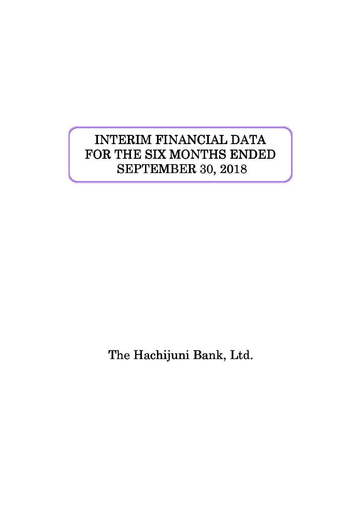# INTERIM FINANCIAL DATA FOR THE SIX MONTHS ENDED SEPTEMBER 30, 2018

The Hachijuni Bank, Ltd.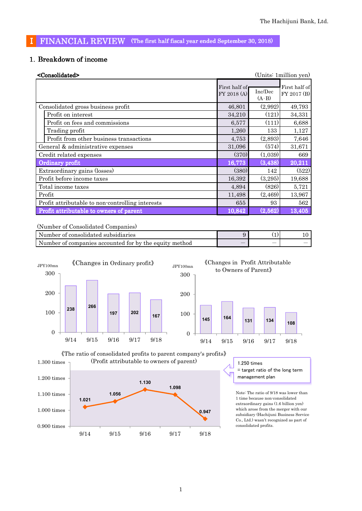## I FINANCIAL REVIEW (The first half fiscal year ended September 30, 2018)

## 1. Breakdown of income

| <consolidated></consolidated>                    |                              |                    | (Units: 1 million yen)       |
|--------------------------------------------------|------------------------------|--------------------|------------------------------|
|                                                  | First half of<br>FY 2018 (A) | Inc/Dec<br>$(A-B)$ | First half of<br>FY 2017 (B) |
| Consolidated gross business profit               | 46,801                       | (2,992)            | 49,793                       |
| Profit on interest                               | 34,210                       | (121)              | 34,331                       |
| Profit on fees and commissions                   | 6,577                        | (111)              | 6,688                        |
| Trading profit                                   | 1,260                        | 133                | 1,127                        |
| Profit from other business transactions          | 4,753                        | (2,893)            | 7,646                        |
| General & administrative expenses                | 31,096                       | (574)              | 31,671                       |
| Credit related expenses                          | (370)                        | (1,039)            | 669                          |
| Ordinary profit                                  | 16,773                       | (3, 438)           | 20,211                       |
| Extraordinary gains (losses)                     | (380)                        | 142                | (522)                        |
| Profit before income taxes                       | 16,392                       | (3,295)            | 19,688                       |
| Total income taxes                               | 4,894                        | (826)              | 5,721                        |
| Profit                                           | 11,498                       | (2,469)            | 13,967                       |
| Profit attributable to non-controlling interests | 655                          | 93                 | 562                          |
| Profit attributable to owners of parent          | 10,842                       | (2,562)            | 13,405                       |

(Number of Consolidated Companies)

| Number of consolidated subsidiaries                    |     |                          |  |
|--------------------------------------------------------|-----|--------------------------|--|
| Number of companies accounted for by the equity method | $-$ | $\overline{\phantom{a}}$ |  |



## **<sup>145</sup> <sup>164</sup> <sup>131</sup> <sup>134</sup> <sup>108</sup>** 0 100 200 300 JPY100mn 䛀Changes in Profit Attributable to Owners of Parent》



9/14 9/15 9/16 9/17 9/18

 $=$  target ratio of the long term management plan

Note: The ratio of 9/18 was lower than 1 time because non-consolidated extraordinary gains (1.6 billion yen) which arose from the merger with our subsidiary (Hachijuni Business Service Co., Ltd.) wasn't recognized as part of consolidated profits.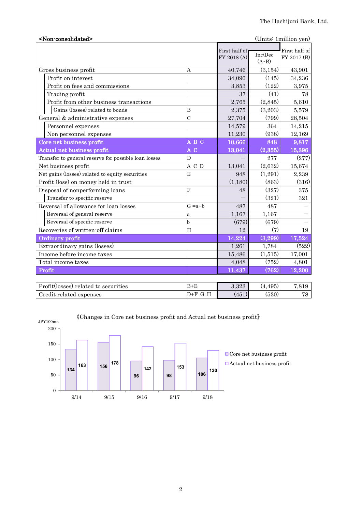| <non-consolidated><br/>(Units: 1 million yen)</non-consolidated> |                                                                             |                              |                    |                              |  |  |
|------------------------------------------------------------------|-----------------------------------------------------------------------------|------------------------------|--------------------|------------------------------|--|--|
|                                                                  |                                                                             | First half of<br>FY 2018 (A) | Inc/Dec<br>$(A-B)$ | First half of<br>FY 2017 (B) |  |  |
| Gross business profit                                            | Α                                                                           | 40,746                       | (3, 154)           | 43,901                       |  |  |
| Profit on interest                                               |                                                                             | 34,090                       | (145)              | 34,236                       |  |  |
| Profit on fees and commissions                                   |                                                                             | 3,853                        | (122)              | 3,975                        |  |  |
| Trading profit                                                   |                                                                             | 37                           | (41)               | 78                           |  |  |
| Profit from other business transactions                          |                                                                             | 2,765                        | (2,845)            | 5,610                        |  |  |
| Gains (losses) related to bonds                                  | B                                                                           | 2,375                        | (3,203)            | 5,579                        |  |  |
| General & administrative expenses                                | $\overline{C}$                                                              | 27,704                       | (799)              | 28,504                       |  |  |
| Personnel expenses                                               |                                                                             | 14,579                       | 364                | 14,215                       |  |  |
| Non personnel expenses                                           |                                                                             | 11,230                       | (938)              | 12,169                       |  |  |
| Core net business profit                                         | $\overline{\mathbf{A}}$ - $\overline{\mathbf{B}}$ - $\overline{\mathbf{C}}$ | 10,666                       | 848                | 9,817                        |  |  |
| Actual net business profit                                       | $A-C$                                                                       | 13,041                       | (2,355)            | 15,396                       |  |  |
| Transfer to general reserve for possible loan losses             | D                                                                           |                              | 277                | (277)                        |  |  |
| Net business profit                                              | $A-C-D$                                                                     | 13,041                       | (2,632)            | 15,674                       |  |  |
| Net gains (losses) related to equity securities                  | E                                                                           | 948                          | (1,291)            | 2,239                        |  |  |
| Profit (loss) on money held in trust                             |                                                                             | (1,180)                      | (863)              | (316)                        |  |  |
| Disposal of nonperforming loans                                  | F                                                                           | 48                           | (327)              | 375                          |  |  |
| Transfer to specific reserve                                     |                                                                             |                              | (321)              | 321                          |  |  |
| Reversal of allowance for loan losses                            | $G = a + b$                                                                 | 487                          | 487                |                              |  |  |
| Reversal of general reserve                                      | a                                                                           | 1,167                        | 1,167              | $\overline{\phantom{0}}$     |  |  |
| Reversal of specific reserve                                     | b                                                                           | (679)                        | (679)              | $\overline{\phantom{0}}$     |  |  |
| Recoveries of written-off claims                                 | H                                                                           | 12                           | (7)                | 19                           |  |  |
| Ordinary profit                                                  |                                                                             | 14,224                       | (3,299)            | 17,524                       |  |  |
| Extraordinary gains (losses)                                     |                                                                             | 1,261                        | 1,784              | (522)                        |  |  |
| Income before income taxes                                       |                                                                             | 15,486                       | (1,515)            | 17,001                       |  |  |
| Total income taxes                                               |                                                                             | 4,048                        | (752)              | 4,801                        |  |  |
| Profit                                                           |                                                                             | 11,437                       | (762)              | 12,200                       |  |  |
|                                                                  |                                                                             |                              |                    |                              |  |  |

| Profit(losses) related to securities | $B+E$ | റ ററെ<br><u>.ാ∠ാ</u> | $\sqrt{2}$<br>'4. | $\overline{ }$<br>$\Omega$ 10<br>, U L U |
|--------------------------------------|-------|----------------------|-------------------|------------------------------------------|
| Credit<br>related expenses :         | ∽     | (451)                | (530)             | H C                                      |



 $\langle\!\langle \mbox{Changes in Core net business profit and Actual net business profit}\rangle\!\rangle$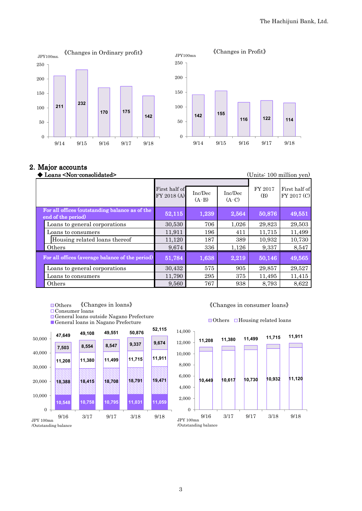



## 2. Major accounts

| Loans <non-consolidated></non-consolidated>                          |                              |                    |                    |                | (Units: 100 million yen)     |
|----------------------------------------------------------------------|------------------------------|--------------------|--------------------|----------------|------------------------------|
|                                                                      | First half of<br>FY 2018 (A) | Inc/Dec<br>$(A-B)$ | Inc/Dec<br>$(A-C)$ | FY 2017<br>(B) | First half of<br>FY 2017 (C) |
| For all offices (outstanding balance as of the<br>end of the period) | 52,115                       | 1,239              | 2,564              | 50,876         | 49,551                       |
| Loans to general corporations                                        | 30,530                       | 706                | 1,026              | 29,823         | 29,503                       |
| Loans to consumers                                                   | 11,911                       | 196                | 411                | 11,715         | 11,499                       |
| Housing related loans thereof                                        | 11,120                       | 187                | 389                | 10,932         | 10,730                       |
| Others                                                               | 9,674                        | 336                | 1,126              | 9,337          | 8,547                        |
| For all offices (average balance of the period)                      | 51,784                       | 1,638              | 2,219              | 50,146         | 49,565                       |
| Loans to general corporations                                        | 30,432                       | 575                | 905                | 29,857         | 29,527                       |
| Loans to consumers                                                   | 11,790                       | 295                | 375                | 11,495         | 11,415                       |
| Others                                                               | 9,560                        | 767                | 938                | 8,793          | 8,622                        |

- ■Others 䛀Changes in loans䛁
- Consumer loans
- General loans outside Nagano Prefecture
- General loans in Nagano Prefecture



䛀Changes in consumer loans䛁

#### $\Box$ Others  $\Box$ Housing related loans



/Outstanding balance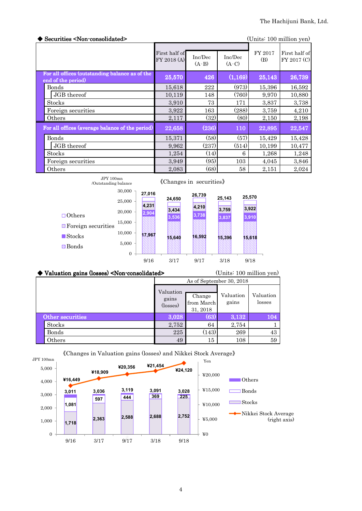| Securities <non-consolidated></non-consolidated>                     |                              |                    |                    |                | (Units: 100 million yen)     |
|----------------------------------------------------------------------|------------------------------|--------------------|--------------------|----------------|------------------------------|
|                                                                      | First half of<br>FY 2018 (A) | Inc/Dec<br>$(A-B)$ | Inc/Dec<br>$(A-C)$ | FY 2017<br>(B) | First half of<br>FY 2017 (C) |
| For all offices (outstanding balance as of the<br>end of the period) | 25,570                       | 426                | (1, 169)           | 25,143         | 26,739                       |
| Bonds                                                                | 15,618                       | 222                | (973)              | 15,396         | 16,592                       |
| JGB thereof                                                          | 10,119                       | 148                | (760)              | 9,970          | 10,880                       |
| <b>Stocks</b>                                                        | 3,910                        | 73                 | 171                | 3,837          | 3,738                        |
| Foreign securities                                                   | 3,922                        | 163                | (288)              | 3,759          | 4,210                        |
| Others                                                               | 2,117                        | (32)               | (80)               | 2,150          | 2,198                        |
| For all offices (average balance of the period)                      | 22,658                       | (236)              | 110                | 22,895         | 22,547                       |
| <b>Bonds</b>                                                         | 15,371                       | (58)               | (57)               | 15,429         | 15,428                       |
| JGB thereof                                                          | 9,962                        | (237)              | (514)              | 10,199         | 10,477                       |
| <b>Stocks</b>                                                        | 1,254                        | (14)               | 6                  | 1,268          | 1,248                        |
| Foreign securities                                                   | 3,949                        | (95)               | 103                | 4,045          | 3,846                        |
| Others                                                               | 2,083                        | (68)               | 58                 | 2,151          | 2,024                        |

| JPY 100mn<br>/Outstanding balance                          |                  |                | «Changes in securities» |                |                |                |  |
|------------------------------------------------------------|------------------|----------------|-------------------------|----------------|----------------|----------------|--|
|                                                            | 30,000<br>25,000 | 27,016         | 24,650                  | 26,739         | 25,143         | 25,570         |  |
| $\Box$ Others                                              | 20,000<br>15,000 | 4,231<br>2,904 | 3,434<br>3,536          | 4,210<br>3,738 | 3,759<br>3,837 | 3,922<br>3,910 |  |
| $\blacksquare$ Foreign securities<br>$\blacksquare$ Stocks | 10.000<br>5,000  | 17.967         | 15,640                  | 16.592         | 15,396         | 15.618         |  |
| <b>⊠</b> Bonds                                             | $\overline{0}$   | 9/16           | 3/17                    | 9/17           | 3/18           | 9/18           |  |

| Valuation gains (losses) <non-consolidated></non-consolidated> | (Units: 100 million yen)       |                                  |                    |                     |  |
|----------------------------------------------------------------|--------------------------------|----------------------------------|--------------------|---------------------|--|
|                                                                | As of September 30, 2018       |                                  |                    |                     |  |
|                                                                | Valuation<br>gains<br>(losses) | Change<br>from March<br>31, 2018 | Valuation<br>gains | Valuation<br>losses |  |
| Other securities                                               | 3.028                          | (63)                             | 3,132              | 104                 |  |
| <b>Stocks</b>                                                  | 2,752                          | 64                               | 2,754              |                     |  |
| Bonds                                                          | 225                            | (143)                            | 269                | 43                  |  |
| Others                                                         | 49                             | 15                               | 108                | 59                  |  |



䛀Changes in Valuation gains (losses) and Nikkei Stock Average䛁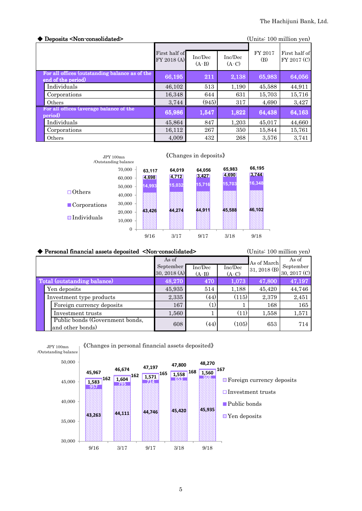| $\blacklozenge$ Deposits <non-consolidated></non-consolidated>       |                              |                    |                    |                | (Units: 100 million yen)     |
|----------------------------------------------------------------------|------------------------------|--------------------|--------------------|----------------|------------------------------|
|                                                                      | First half of<br>FY 2018 (A) | Inc/Dec<br>$(A-B)$ | Inc/Dec<br>$(A-C)$ | FY 2017<br>(B) | First half of<br>FY 2017 (C) |
| For all offices (outstanding balance as of the<br>end of the period) | 66,195                       | 211                | 2,138              | 65,983         | 64,056                       |
| Individuals                                                          | 46,102                       | 513                | 1,190              | 45,588         | 44,911                       |
| Corporations                                                         | 16,348                       | 644                | 631                | 15.703         | 15,716                       |
| Others                                                               | 3,744                        | (945)              | 317                | 4,690          | 3,427                        |
| For all offices (average balance of the<br>period)                   | 65,986                       | 1,547              | 1,822              | 64,438         | 64,163                       |
| Individuals                                                          | 45,864                       | 847                | 1,203              | 45,017         | 44,660                       |
| Corporations                                                         | 16,112                       | 267                | 350                | 15,844         | 15,761                       |
| Others                                                               | 4,009                        | 432                | 268                | 3,576          | 3,741                        |



|                             | Personal financial assets deposited <non-consolidated></non-consolidated> |              | (Units: 100 million yen) |         |                             |              |
|-----------------------------|---------------------------------------------------------------------------|--------------|--------------------------|---------|-----------------------------|--------------|
|                             |                                                                           | As of        |                          |         |                             | As of        |
|                             |                                                                           | September    | Inc/Dec                  | Inc/Dec | As of March<br>31, 2018 (B) | September    |
|                             |                                                                           | 30, 2018 (A) | $(A-B)$                  | $(A-C)$ |                             | 30, 2017 (C) |
| Total (outstanding balance) |                                                                           | 48,270       | 470                      | 1,073   | 47,800                      | 47,197       |
|                             | Yen deposits                                                              | 45,935       | 514                      | 1,188   | 45,420                      | 44,746       |
|                             | Investment type products                                                  | 2,335        | (44)                     | (115)   | 2,379                       | 2,451        |
|                             | Foreign currency deposits                                                 | 167          | (1)                      |         | 168                         | 165          |
|                             | Investment trusts                                                         | 1,560        |                          | (11)    | 1,558                       | 1,571        |
|                             | Public bonds (Government bonds,<br>and other bonds)                       | 608          | (44)                     | (105)   | 653                         | 714          |



5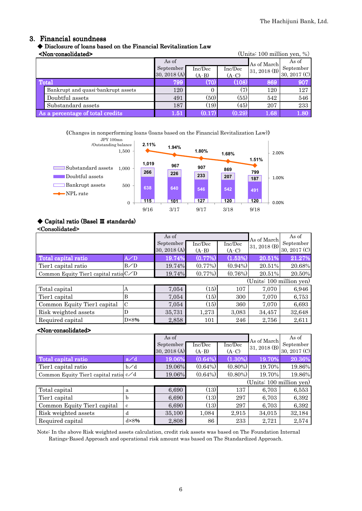## 3. Financial soundness

## 䕺 Disclosure of loans based on the Financial Revitalization Law

| <non-consolidated><br/>(Units: <math>100</math> million yen, %)</non-consolidated> |                                    |              |         |         |              |              |
|------------------------------------------------------------------------------------|------------------------------------|--------------|---------|---------|--------------|--------------|
|                                                                                    |                                    | As of        |         |         | As of March  | As of        |
|                                                                                    |                                    | September    | Inc/Dec | Inc/Dec | 31, 2018 (B) | September    |
|                                                                                    |                                    | 30, 2018 (A) | $(A-B)$ | $(A-C)$ |              | 30, 2017 (C) |
| <b>Total</b>                                                                       |                                    | 799          | (70)    | (108)   | 869          | 907          |
|                                                                                    | Bankrupt and quasi-bankrupt assets | 120          | 0       | (7)     | 120          | 127          |
|                                                                                    | Doubtful assets                    | 491          | (50)    | (55)    | 542          | 546          |
|                                                                                    | Substandard assets                 | 187          | (19)    | (45)    | 207          | 233          |
| As a percentage of total credits                                                   |                                    | 1.51         | (0.17)  | (0.29)  | 1.68         | 1.80         |

䛀Changes in nonperforming loans (loans based on the Financial Revitalization Law)䛁



## ◆ Capital ratio (Basel Ⅲ standards)

#### <Consolidated>

|                                         |                | As of<br>September | Inc/Dec    | Inc/Dec    | As of March<br>31, 2018 (B) | As of<br>September |
|-----------------------------------------|----------------|--------------------|------------|------------|-----------------------------|--------------------|
|                                         |                | 30, 2018 (A)       | $(A-B)$    | $(A-C)$    |                             | 30, 2017 (C)       |
| Total capital ratio                     | A/D            | 19.74%             | (0.77%     | (1.53%)    | 20.51%                      | 21.27%             |
| Tier1 capital ratio                     | B/D            | 19.74%             | $(0.77\%)$ | $(0.94\%)$ | 20.51%                      | 20.68%             |
| Common Equity Tier1 capital ratio $C/D$ |                | 19.74%             | $(0.77\%)$ | (0.76%)    | 20.51%                      | 20.50%             |
|                                         |                |                    |            |            | (Units: 100 million yen)    |                    |
| Total capital                           | Α              | 7,054              | (15)       | 107        | 7,070                       | 6,946              |
| Tier1 capital                           | B              | 7,054              | (15)       | 300        | 7,070                       | 6,753              |
| Common Equity Tier1 capital             | $\mathcal{C}$  | 7,054              | (15)       | 360        | 7,070                       | 6,693              |
| Risk weighted assets                    | D              | 35,731             | 1,273      | 3,083      | 34,457                      | 32,648             |
| Required capital                        | $D \times 8\%$ | 2,858              | 101        | 246        | 2,756                       | 2,611              |

## <Non-consolidated>

|                                       |      | As of<br>September | Inc/Dec    | Inc/Dec    | As of March<br>31, 2018 (B) | As of<br>September |  |
|---------------------------------------|------|--------------------|------------|------------|-----------------------------|--------------------|--|
|                                       |      | 30, 2018 (A)       | $(A-B)$    | $(A-C)$    |                             | 30, 2017 (C)       |  |
| Total capital ratio                   | a/d  | 19.06%             | (0.64%)    | (1.30%)    | 19.70%                      | 20.36%             |  |
| Tier1 capital ratio                   | b∕d  | 19.06%             | $(0.64\%)$ | $(0.80\%)$ | 19.70%                      | 19.86%             |  |
| Common Equity Tier1 capital ratio c/d |      | 19.06%             | $(0.64\%)$ | $(0.80\%)$ | 19.70%                      | 19.86%             |  |
| (Units: 100 million yen)              |      |                    |            |            |                             |                    |  |
| Total capital                         | a    | 6,690              | (13)       | 137        | 6,703                       | 6,553              |  |
| Tier1 capital                         | h    | 6,690              | (13)       | 297        | 6,703                       | 6,392              |  |
| Common Equity Tier1 capital           | c.   | 6,690              | (13)       | 297        | 6,703                       | 6,392              |  |
| Risk weighted assets                  | d    | 35,100             | 1,084      | 2,915      | 34,015                      | 32,184             |  |
| Required capital                      | dx8% | 2,808              | 86         | 233        | 2,721                       | 2,574              |  |

Note: In the above Risk weighted assets calculation, credit risk assets was based on The Foundation Internal Ratings-Based Approach and operational risk amount was based on The Standardized Approach.